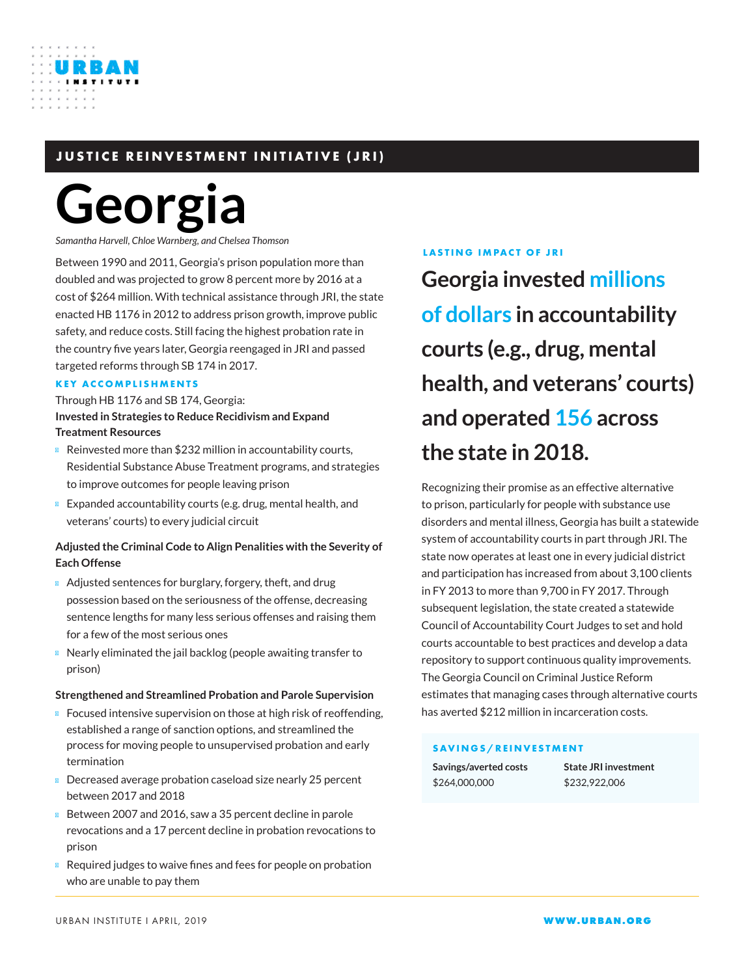# **JUSTICE REINVESTMENT INITIATIVE (JRI)**

# **Georgia**

*Samantha Harvell, Chloe Warnberg, and Chelsea Thomson*

Between 1990 and 2011, Georgia's prison population more than doubled and was projected to grow 8 percent more by 2016 at a cost of \$264 million. With technical assistance through JRI, the state enacted HB 1176 in 2012 to address prison growth, improve public safety, and reduce costs. Still facing the highest probation rate in the country five years later, Georgia reengaged in JRI and passed targeted reforms through SB 174 in 2017.

#### **KEY ACCOMPLISHMENTS**

### Through HB 1176 and SB 174, Georgia: **Invested in Strategies to Reduce Recidivism and Expand Treatment Resources**

Reinvested more than \$232 million in accountability courts, Residential Substance Abuse Treatment programs, and strategies to improve outcomes for people leaving prison

Expanded accountability courts (e.g. drug, mental health, and veterans' courts) to every judicial circuit

## **Adjusted the Criminal Code to Align Penalities with the Severity of Each Offense**

Adjusted sentences for burglary, forgery, theft, and drug possession based on the seriousness of the offense, decreasing sentence lengths for many less serious offenses and raising them for a few of the most serious ones

Nearly eliminated the jail backlog (people awaiting transfer to prison)

#### **Strengthened and Streamlined Probation and Parole Supervision**

Focused intensive supervision on those at high risk of reoffending, established a range of sanction options, and streamlined the process for moving people to unsupervised probation and early termination

Decreased average probation caseload size nearly 25 percent between 2017 and 2018

Between 2007 and 2016, saw a 35 percent decline in parole revocations and a 17 percent decline in probation revocations to prison

Required judges to waive fines and fees for people on probation who are unable to pay them

#### **LASTING IMPACT OF JRI**

**Georgia invested millions of dollars in accountability courts (e.g., drug, mental health, and veterans' courts) and operated 156 across the state in 2018.**

Recognizing their promise as an effective alternative to prison, particularly for people with substance use disorders and mental illness, Georgia has built a statewide system of accountability courts in part through JRI. The state now operates at least one in every judicial district and participation has increased from about 3,100 clients in FY 2013 to more than 9,700 in FY 2017. Through subsequent legislation, the state created a statewide Council of Accountability Court Judges to set and hold courts accountable to best practices and develop a data repository to support continuous quality improvements. The Georgia Council on Criminal Justice Reform estimates that managing cases through alternative courts has averted \$212 million in incarceration costs.

#### **SAVINGS/REINVESTMENT**

**Savings/averted costs** \$264,000,000

**State JRI investment** \$232,922,006